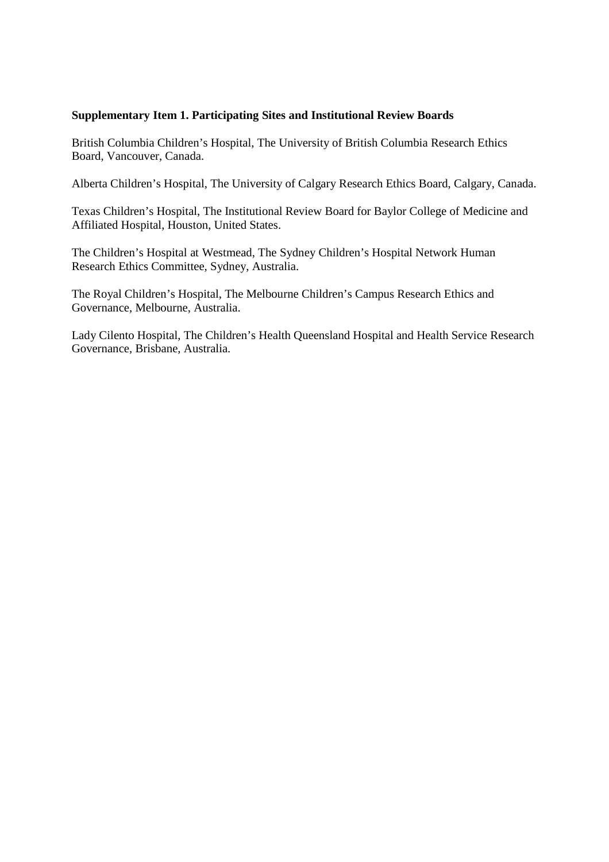## **Supplementary Item 1. Participating Sites and Institutional Review Boards**

British Columbia Children's Hospital, The University of British Columbia Research Ethics Board, Vancouver, Canada.

Alberta Children's Hospital, The University of Calgary Research Ethics Board, Calgary, Canada.

Texas Children's Hospital, The Institutional Review Board for Baylor College of Medicine and Affiliated Hospital, Houston, United States.

The Children's Hospital at Westmead, The Sydney Children's Hospital Network Human Research Ethics Committee, Sydney, Australia.

The Royal Children's Hospital, The Melbourne Children's Campus Research Ethics and Governance, Melbourne, Australia.

Lady Cilento Hospital, The Children's Health Queensland Hospital and Health Service Research Governance, Brisbane, Australia.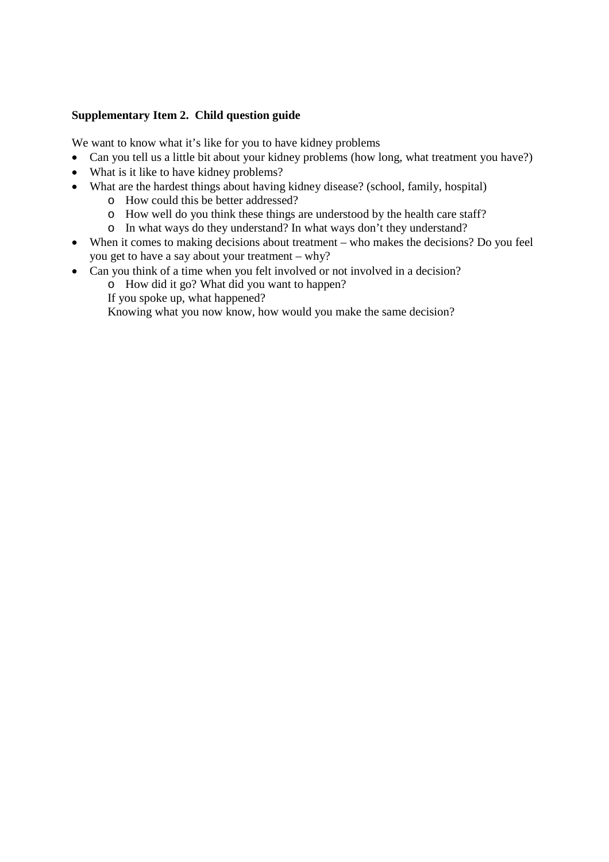## **Supplementary Item 2. Child question guide**

We want to know what it's like for you to have kidney problems

- Can you tell us a little bit about your kidney problems (how long, what treatment you have?)
- What is it like to have kidney problems?
- What are the hardest things about having kidney disease? (school, family, hospital)
	- o How could this be better addressed?
	- o How well do you think these things are understood by the health care staff?
	- o In what ways do they understand? In what ways don't they understand?
- When it comes to making decisions about treatment who makes the decisions? Do you feel you get to have a say about your treatment – why?
- Can you think of a time when you felt involved or not involved in a decision?
	- o How did it go? What did you want to happen?
	- If you spoke up, what happened?

Knowing what you now know, how would you make the same decision?